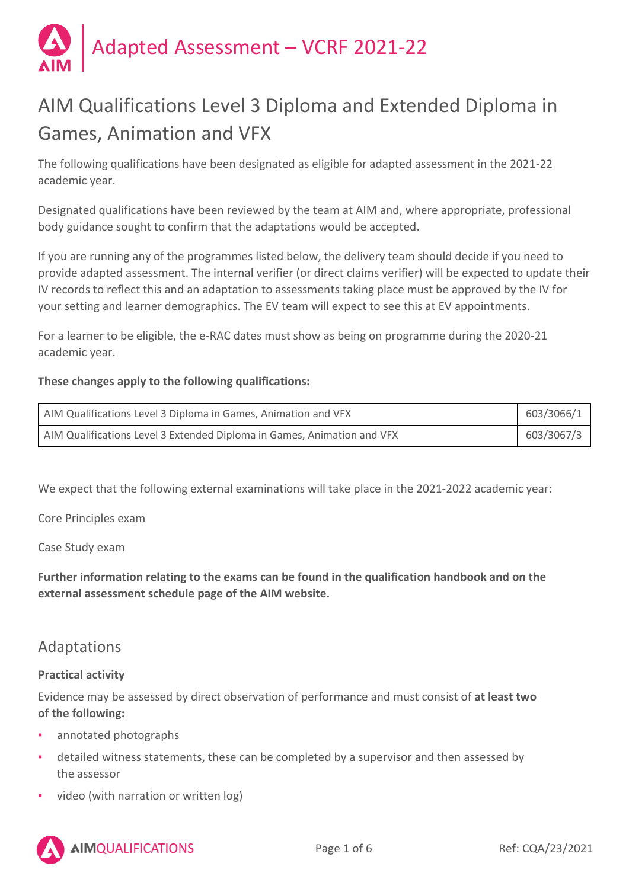

# AIM Qualifications Level 3 Diploma and Extended Diploma in Games, Animation and VFX

The following qualifications have been designated as eligible for adapted assessment in the 2021-22 academic year.

Designated qualifications have been reviewed by the team at AIM and, where appropriate, professional body guidance sought to confirm that the adaptations would be accepted.

If you are running any of the programmes listed below, the delivery team should decide if you need to provide adapted assessment. The internal verifier (or direct claims verifier) will be expected to update their IV records to reflect this and an adaptation to assessments taking place must be approved by the IV for your setting and learner demographics. The EV team will expect to see this at EV appointments.

For a learner to be eligible, the e-RAC dates must show as being on programme during the 2020-21 academic year.

## **These changes apply to the following qualifications:**

| AIM Qualifications Level 3 Diploma in Games, Animation and VFX          | 603/3066/1 |
|-------------------------------------------------------------------------|------------|
| AIM Qualifications Level 3 Extended Diploma in Games, Animation and VFX | 603/3067/3 |

We expect that the following external examinations will take place in the 2021-2022 academic year:

Core Principles exam

Case Study exam

**Further information relating to the exams can be found in the qualification handbook and on the external assessment schedule page of the AIM website.** 

# Adaptations

#### **Practical activity**

Evidence may be assessed by direct observation of performance and must consist of **at least two of the following:**

- annotated photographs
- detailed witness statements, these can be completed by a supervisor and then assessed by the assessor
- video (with narration or written log)